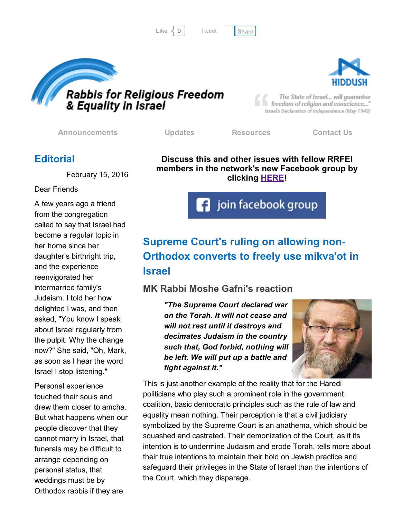[Tweet](https://twitter.com/intent/tweet?original_referer=http%3A%2F%2Fhosted-p0.vresp.com%2F577764%2F82b22408b9%2FARCHIVE&ref_src=twsrc%5Etfw&text=Bulletin%3A%2084%25%20of%20Israelis%20want%20legalized%20love%3A&tw_p=tweetbutton&url=http%3A%2F%2Fhosted-p0.vresp.com%2F577764%2F82b22408b9%2FARCHIVE%23.VsQ2JwYUKD8.twitter)





The State of Israel... will guarantee freedom of religion and conscience..." Israel's Declaration of Independence (May 1948)

[Announcements](http://rrfei.org/announcements/) [Updates](http://rrfei.org/about/rrfei-updates/) [Resources](http://rrfei.org/resources/) [Contact](http://rrfei.org/contact-us/) Us

#### **Editorial**

February 15, 2016

Dear Friends

A few years ago a friend from the congregation called to say that Israel had become a regular topic in her home since her daughter's birthright trip, and the experience reenvigorated her intermarried family's Judaism. I told her how delighted I was, and then asked, "You know I speak about Israel regularly from the pulpit. Why the change now?" She said, "Oh, Mark, as soon as I hear the word Israel I stop listening."

Personal experience touched their souls and drew them closer to amcha. But what happens when our people discover that they cannot marry in Israel, that funerals may be difficult to arrange depending on personal status, that weddings must be by Orthodox rabbis if they are

Discuss this and other issues with fellow RRFEI members in the network's new Facebook group by clicking **[HERE!](https://www.facebook.com/groups/132239560451232/)** 

**f** join facebook group

# Supreme Court's ruling on allowing non-Orthodox converts to freely use mikva'ot in Israel

#### MK Rabbi Moshe Gafni's reaction

*"The Supreme Court declared war on the Torah. It will not cease and will not rest until it destroys and decimates Judaism in the country such that, God forbid, nothing will be left. We will put up a battle and fight against it."*



This is just another example of the reality that for the Haredi politicians who play such a prominent role in the government coalition, basic democratic principles such as the rule of law and equality mean nothing. Their perception is that a civil judiciary symbolized by the Supreme Court is an anathema, which should be squashed and castrated. Their demonization of the Court, as if its intention is to undermine Judaism and erode Torah, tells more about their true intentions to maintain their hold on Jewish practice and safeguard their privileges in the State of Israel than the intentions of the Court, which they disparage.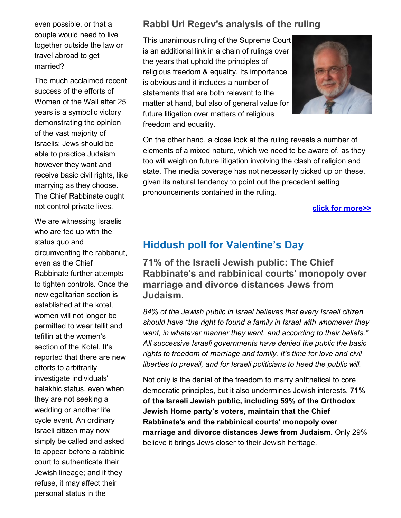even possible, or that a couple would need to live together outside the law or travel abroad to get married?

The much acclaimed recent success of the efforts of Women of the Wall after 25 years is a symbolic victory demonstrating the opinion of the vast majority of Israelis: Jews should be able to practice Judaism however they want and receive basic civil rights, like marrying as they choose. The Chief Rabbinate ought not control private lives.

We are witnessing Israelis who are fed up with the status quo and circumventing the rabbanut, even as the Chief Rabbinate further attempts to tighten controls. Once the new egalitarian section is established at the kotel, women will not longer be permitted to wear tallit and tefillin at the women's section of the Kotel. It's reported that there are new efforts to arbitrarily investigate individuals' halakhic status, even when they are not seeking a wedding or another life cycle event. An ordinary Israeli citizen may now simply be called and asked to appear before a rabbinic court to authenticate their Jewish lineage; and if they refuse, it may affect their personal status in the

#### Rabbi Uri Regev's analysis of the ruling

This unanimous ruling of the Supreme Court is an additional link in a chain of rulings over the years that uphold the principles of religious freedom & equality. Its importance is obvious and it includes a number of statements that are both relevant to the matter at hand, but also of general value for future litigation over matters of religious freedom and equality.



On the other hand, a close look at the ruling reveals a number of elements of a mixed nature, which we need to be aware of, as they too will weigh on future litigation involving the clash of religion and state. The media coverage has not necessarily picked up on these, given its natural tendency to point out the precedent setting pronouncements contained in the ruling.

#### click for [more>>](http://rrfei.org/2016/02/rabbi-uri-regevs-analysis-of-the-supreme-court-ruling-to-allow-non-orthodox-converts-access-to-all-mikvaot-in-israel/)

#### Hiddush poll for Valentine's Day

71% of the Israeli Jewish public: The Chief Rabbinate's and rabbinical courts' monopoly over marriage and divorce distances Jews from Judaism.

*84% of the Jewish public in Israel believes that every Israeli citizen should have "the right to found a family in Israel with whomever they want, in whatever manner they want, and according to their beliefs." All successive Israeli governments have denied the public the basic rights to freedom of marriage and family. It's time for love and civil liberties to prevail, and for Israeli politicians to heed the public will.*

Not only is the denial of the freedom to marry antithetical to core democratic principles, but it also undermines Jewish interests. 71% of the Israeli Jewish public, including 59% of the Orthodox Jewish Home party's voters, maintain that the Chief Rabbinate's and the rabbinical courts' monopoly over marriage and divorce distances Jews from Judaism. Only 29% believe it brings Jews closer to their Jewish heritage.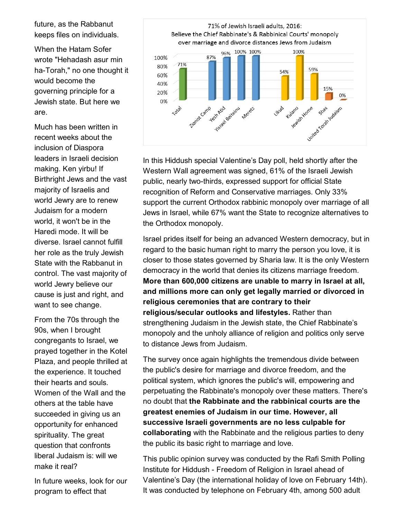future, as the Rabbanut keeps files on individuals.

When the Hatam Sofer wrote "Hehadash asur min ha-Torah," no one thought it would become the governing principle for a Jewish state. But here we are.

Much has been written in recent weeks about the inclusion of Diaspora leaders in Israeli decision making. Ken yirbu! If Birthright Jews and the vast majority of Israelis and world Jewry are to renew Judaism for a modern world, it won't be in the Haredi mode. It will be diverse. Israel cannot fulfill her role as the truly Jewish State with the Rabbanut in control. The vast majority of world Jewry believe our cause is just and right, and want to see change.

From the 70s through the 90s, when I brought congregants to Israel, we prayed together in the Kotel Plaza, and people thrilled at the experience. It touched their hearts and souls. Women of the Wall and the others at the table have succeeded in giving us an opportunity for enhanced spirituality. The great question that confronts liberal Judaism is: will we make it real?

In future weeks, look for our program to effect that



In this Hiddush special Valentine's Day poll, held shortly after the Western Wall agreement was signed, 61% of the Israeli Jewish public, nearly two-thirds, expressed support for official State recognition of Reform and Conservative marriages. Only 33% support the current Orthodox rabbinic monopoly over marriage of all Jews in Israel, while 67% want the State to recognize alternatives to the Orthodox monopoly.

Israel prides itself for being an advanced Western democracy, but in regard to the basic human right to marry the person you love, it is closer to those states governed by Sharia law. It is the only Western democracy in the world that denies its citizens marriage freedom. More than 600,000 citizens are unable to marry in Israel at all, and millions more can only get legally married or divorced in religious ceremonies that are contrary to their religious/secular outlooks and lifestyles. Rather than strengthening Judaism in the Jewish state, the Chief Rabbinate's monopoly and the unholy alliance of religion and politics only serve to distance Jews from Judaism.

The survey once again highlights the tremendous divide between the public's desire for marriage and divorce freedom, and the political system, which ignores the public's will, empowering and perpetuating the Rabbinate's monopoly over these matters. There's no doubt that the Rabbinate and the rabbinical courts are the greatest enemies of Judaism in our time. However, all successive Israeli governments are no less culpable for collaborating with the Rabbinate and the religious parties to deny the public its basic right to marriage and love.

This public opinion survey was conducted by the Rafi Smith Polling Institute for Hiddush Freedom of Religion in Israel ahead of Valentine's Day (the international holiday of love on February 14th). It was conducted by telephone on February 4th, among 500 adult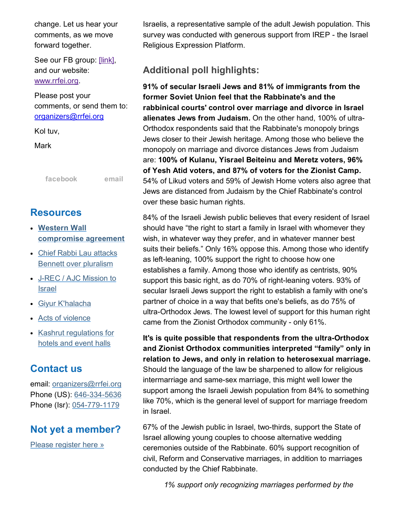change. Let us hear your comments, as we move forward together.

See our FB group: [\[link\],](https://www.facebook.com/groups/132239560451232/) and our website: [www.rrfei.org.](http://rrfei.org/)

Please post your comments, or send them to: [organizers@rrfei.org](mailto:organizers@rrfei.org)

Kol tuv,

Mark

[facebook](https://www.facebook.com/groups/132239560451232/) [email](mailto:organizers@rrfei.org)

#### **Resources**

- Western Wall [compromise](http://rrfei.org/resources/western-wall-agreement-2016/) agreement
- Chief Rabbi Lau attacks Bennett over [pluralism](http://rrfei.org/resources/chief-rabbi-lau-slams-minister-bennett-winter-2015/)
- J-REC / AJC [Mission](http://rrfei.org/resources/ajc-j-rec-mission-to-israel-winter-2015/) to Israel
- Giyur [K'halacha](http://rrfei.org/resources/giyur-khalacha-summer-2015/)
- Acts of [violence](http://rrfei.org/resources/acts-of-violence-summer-2015/)
- Kashrut [regulations](http://rrfei.org/resources/kashrut-regulations-for-hotels-spring-2015/) for hotels and event halls

#### Contact us

email: [organizers@rrfei.org](mailto:organizers@rrfei.org) Phone (US): 646-334-5636 Phone (Isr): 054-779-1179

## Not yet a member?

Please [register](http://rrfei.org/about/registration/) here »

Israelis, a representative sample of the adult Jewish population. This survey was conducted with generous support from IREP - the Israel Religious Expression Platform.

### Additional poll highlights:

91% of secular Israeli Jews and 81% of immigrants from the former Soviet Union feel that the Rabbinate's and the rabbinical courts' control over marriage and divorce in Israel alienates Jews from Judaism. On the other hand, 100% of ultra-Orthodox respondents said that the Rabbinate's monopoly brings Jews closer to their Jewish heritage. Among those who believe the monopoly on marriage and divorce distances Jews from Judaism are: 100% of Kulanu, Yisrael Beiteinu and Meretz voters, 96% of Yesh Atid voters, and 87% of voters for the Zionist Camp. 54% of Likud voters and 59% of Jewish Home voters also agree that Jews are distanced from Judaism by the Chief Rabbinate's control over these basic human rights.

84% of the Israeli Jewish public believes that every resident of Israel should have "the right to start a family in Israel with whomever they wish, in whatever way they prefer, and in whatever manner best suits their beliefs." Only 16% oppose this. Among those who identify as left-leaning, 100% support the right to choose how one establishes a family. Among those who identify as centrists, 90% support this basic right, as do 70% of right-leaning voters. 93% of secular Israeli Jews support the right to establish a family with one's partner of choice in a way that befits one's beliefs, as do 75% of ultra-Orthodox Jews. The lowest level of support for this human right came from the Zionist Orthodox community - only 61%.

It's is quite possible that respondents from the ultra-Orthodox and Zionist Orthodox communities interpreted "family" only in relation to Jews, and only in relation to heterosexual marriage. Should the language of the law be sharpened to allow for religious intermarriage and same-sex marriage, this might well lower the support among the Israeli Jewish population from 84% to something like 70%, which is the general level of support for marriage freedom in Israel.

67% of the Jewish public in Israel, two-thirds, support the State of Israel allowing young couples to choose alternative wedding ceremonies outside of the Rabbinate. 60% support recognition of civil, Reform and Conservative marriages, in addition to marriages conducted by the Chief Rabbinate.

*1% support only recognizing marriages performed by the*